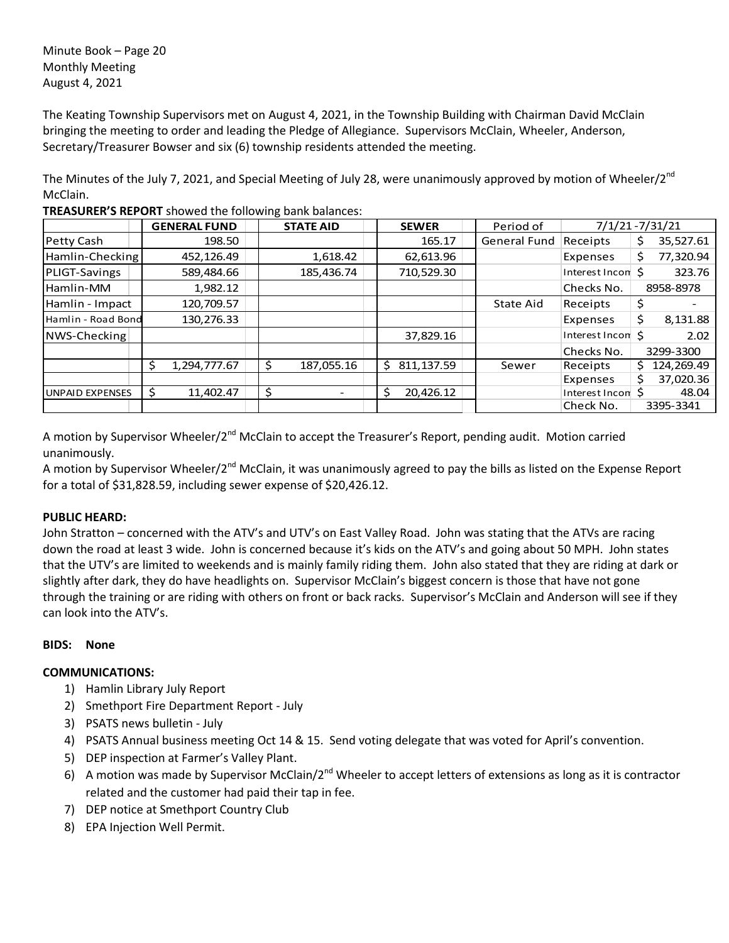Minute Book – Page 20 Monthly Meeting August 4, 2021

The Keating Township Supervisors met on August 4, 2021, in the Township Building with Chairman David McClain bringing the meeting to order and leading the Pledge of Allegiance. Supervisors McClain, Wheeler, Anderson, Secretary/Treasurer Bowser and six (6) township residents attended the meeting.

The Minutes of the July 7, 2021, and Special Meeting of July 28, were unanimously approved by motion of Wheeler/2<sup>nd</sup> McClain.

|                        | <b>GENERAL FUND</b> |  | <b>STATE AID</b>               | <b>SEWER</b>     |  | Period of           |                   |    | 7/1/21 - 7/31/21 |  |
|------------------------|---------------------|--|--------------------------------|------------------|--|---------------------|-------------------|----|------------------|--|
| Petty Cash             | 198.50              |  |                                | 165.17           |  | <b>General Fund</b> | Receipts          | \$ | 35,527.61        |  |
| Hamlin-Checking        | 452,126.49          |  | 1,618.42                       | 62,613.96        |  |                     | Expenses          | \$ | 77,320.94        |  |
| PLIGT-Savings          | 589,484.66          |  | 185,436.74                     | 710,529.30       |  |                     | Interest Incon \$ |    | 323.76           |  |
| Hamlin-MM              | 1,982.12            |  |                                |                  |  |                     | Checks No.        |    | 8958-8978        |  |
| Hamlin - Impact        | 120,709.57          |  |                                |                  |  | State Aid           | Receipts          | \$ |                  |  |
| Hamlin - Road Bond     | 130,276.33          |  |                                |                  |  |                     | Expenses          | \$ | 8,131.88         |  |
| NWS-Checking           |                     |  |                                | 37,829.16        |  |                     | Interest Incon \$ |    | 2.02             |  |
|                        |                     |  |                                |                  |  |                     | Checks No.        |    | 3299-3300        |  |
|                        | \$<br>1,294,777.67  |  | 187,055.16                     | \$<br>811,137.59 |  | Sewer               | Receipts          | Ś. | 124,269.49       |  |
|                        |                     |  |                                |                  |  |                     | Expenses          | \$ | 37,020.36        |  |
| <b>UNPAID EXPENSES</b> | \$<br>11,402.47     |  | \$<br>$\overline{\phantom{0}}$ | \$<br>20,426.12  |  |                     | Interest Incon \$ |    | 48.04            |  |
|                        |                     |  |                                |                  |  |                     | Check No.         |    | 3395-3341        |  |

**TREASURER'S REPORT** showed the following bank balances:

A motion by Supervisor Wheeler/2<sup>nd</sup> McClain to accept the Treasurer's Report, pending audit. Motion carried unanimously.

A motion by Supervisor Wheeler/2<sup>nd</sup> McClain, it was unanimously agreed to pay the bills as listed on the Expense Report for a total of \$31,828.59, including sewer expense of \$20,426.12.

# **PUBLIC HEARD:**

John Stratton – concerned with the ATV's and UTV's on East Valley Road. John was stating that the ATVs are racing down the road at least 3 wide. John is concerned because it's kids on the ATV's and going about 50 MPH. John states that the UTV's are limited to weekends and is mainly family riding them. John also stated that they are riding at dark or slightly after dark, they do have headlights on. Supervisor McClain's biggest concern is those that have not gone through the training or are riding with others on front or back racks. Supervisor's McClain and Anderson will see if they can look into the ATV's.

### **BIDS: None**

### **COMMUNICATIONS:**

- 1) Hamlin Library July Report
- 2) Smethport Fire Department Report July
- 3) PSATS news bulletin July
- 4) PSATS Annual business meeting Oct 14 & 15. Send voting delegate that was voted for April's convention.
- 5) DEP inspection at Farmer's Valley Plant.
- 6) A motion was made by Supervisor McClain/2<sup>nd</sup> Wheeler to accept letters of extensions as long as it is contractor related and the customer had paid their tap in fee.
- 7) DEP notice at Smethport Country Club
- 8) EPA Injection Well Permit.